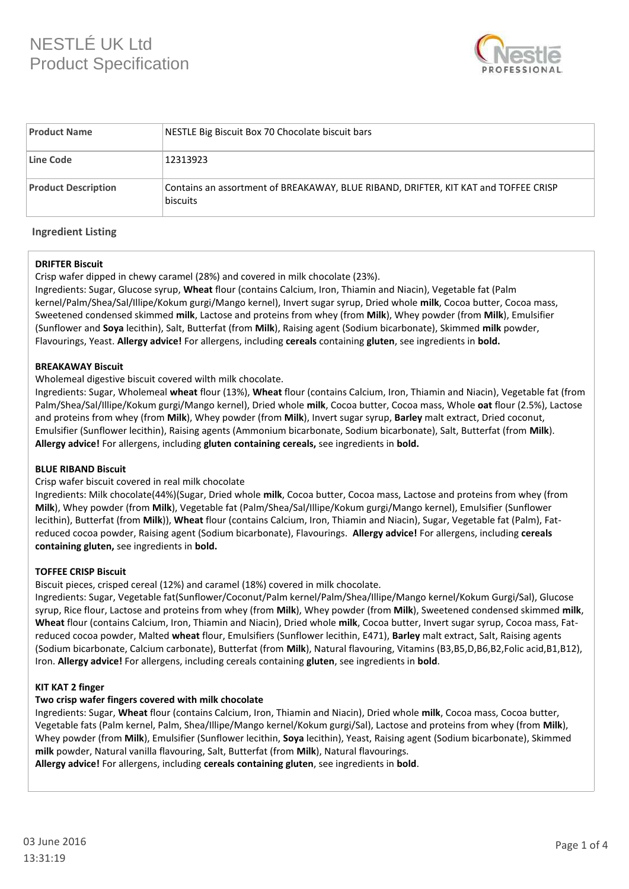# NESTLÉ UK Ltd Product Specification



| <b>Product Name</b>        | NESTLE Big Biscuit Box 70 Chocolate biscuit bars                                                       |  |  |  |  |
|----------------------------|--------------------------------------------------------------------------------------------------------|--|--|--|--|
| Line Code                  | 12313923                                                                                               |  |  |  |  |
| <b>Product Description</b> | Contains an assortment of BREAKAWAY, BLUE RIBAND, DRIFTER, KIT KAT and TOFFEE CRISP<br><b>biscuits</b> |  |  |  |  |

#### **Ingredient Listing**

#### **DRIFTER Biscuit**

Crisp wafer dipped in chewy caramel (28%) and covered in milk chocolate (23%).

Ingredients: Sugar, Glucose syrup, **Wheat** flour (contains Calcium, Iron, Thiamin and Niacin), Vegetable fat (Palm kernel/Palm/Shea/Sal/Illipe/Kokum gurgi/Mango kernel), Invert sugar syrup, Dried whole **milk**, Cocoa butter, Cocoa mass, Sweetened condensed skimmed **milk**, Lactose and proteins from whey (from **Milk**), Whey powder (from **Milk**), Emulsifier (Sunflower and **Soya** lecithin), Salt, Butterfat (from **Milk**), Raising agent (Sodium bicarbonate), Skimmed **milk** powder, Flavourings, Yeast. **Allergy advice!** For allergens, including **cereals** containing **gluten**, see ingredients in **bold.**

#### **BREAKAWAY Biscuit**

Wholemeal digestive biscuit covered wilth milk chocolate.

Ingredients: Sugar, Wholemeal **wheat** flour (13%), **Wheat** flour (contains Calcium, Iron, Thiamin and Niacin), Vegetable fat (from Palm/Shea/Sal/Illipe/Kokum gurgi/Mango kernel), Dried whole **milk**, Cocoa butter, Cocoa mass, Whole **oat** flour (2.5%), Lactose and proteins from whey (from **Milk**), Whey powder (from **Milk**), Invert sugar syrup, **Barley** malt extract, Dried coconut, Emulsifier (Sunflower lecithin), Raising agents (Ammonium bicarbonate, Sodium bicarbonate), Salt, Butterfat (from **Milk**). **Allergy advice!** For allergens, including **gluten containing cereals,** see ingredients in **bold.**

#### **BLUE RIBAND Biscuit**

#### Crisp wafer biscuit covered in real milk chocolate

Ingredients: Milk chocolate(44%)(Sugar, Dried whole **milk**, Cocoa butter, Cocoa mass, Lactose and proteins from whey (from **Milk**), Whey powder (from **Milk**), Vegetable fat (Palm/Shea/Sal/Illipe/Kokum gurgi/Mango kernel), Emulsifier (Sunflower lecithin), Butterfat (from **Milk**)), **Wheat** flour (contains Calcium, Iron, Thiamin and Niacin), Sugar, Vegetable fat (Palm), Fatreduced cocoa powder, Raising agent (Sodium bicarbonate), Flavourings. **Allergy advice!** For allergens, including **cereals containing gluten,** see ingredients in **bold.**

#### **TOFFEE CRISP Biscuit**

Biscuit pieces, crisped cereal (12%) and caramel (18%) covered in milk chocolate.

Ingredients: Sugar, Vegetable fat(Sunflower/Coconut/Palm kernel/Palm/Shea/Illipe/Mango kernel/Kokum Gurgi/Sal), Glucose syrup, Rice flour, Lactose and proteins from whey (from **Milk**), Whey powder (from **Milk**), Sweetened condensed skimmed **milk**, **Wheat** flour (contains Calcium, Iron, Thiamin and Niacin), Dried whole **milk**, Cocoa butter, Invert sugar syrup, Cocoa mass, Fatreduced cocoa powder, Malted **wheat** flour, Emulsifiers (Sunflower lecithin, E471), **Barley** malt extract, Salt, Raising agents (Sodium bicarbonate, Calcium carbonate), Butterfat (from **Milk**), Natural flavouring, Vitamins (B3,B5,D,B6,B2,Folic acid,B1,B12), Iron. **Allergy advice!** For allergens, including cereals containing **gluten**, see ingredients in **bold**.

## **KIT KAT 2 finger**

## **Two crisp wafer fingers covered with milk chocolate**

Ingredients: Sugar, **Wheat** flour (contains Calcium, Iron, Thiamin and Niacin), Dried whole **milk**, Cocoa mass, Cocoa butter, Vegetable fats (Palm kernel, Palm, Shea/Illipe/Mango kernel/Kokum gurgi/Sal), Lactose and proteins from whey (from **Milk**), Whey powder (from **Milk**), Emulsifier (Sunflower lecithin, **Soya** lecithin), Yeast, Raising agent (Sodium bicarbonate), Skimmed **milk** powder, Natural vanilla flavouring, Salt, Butterfat (from **Milk**), Natural flavourings.

**Allergy advice!** For allergens, including **cereals containing gluten**, see ingredients in **bold**.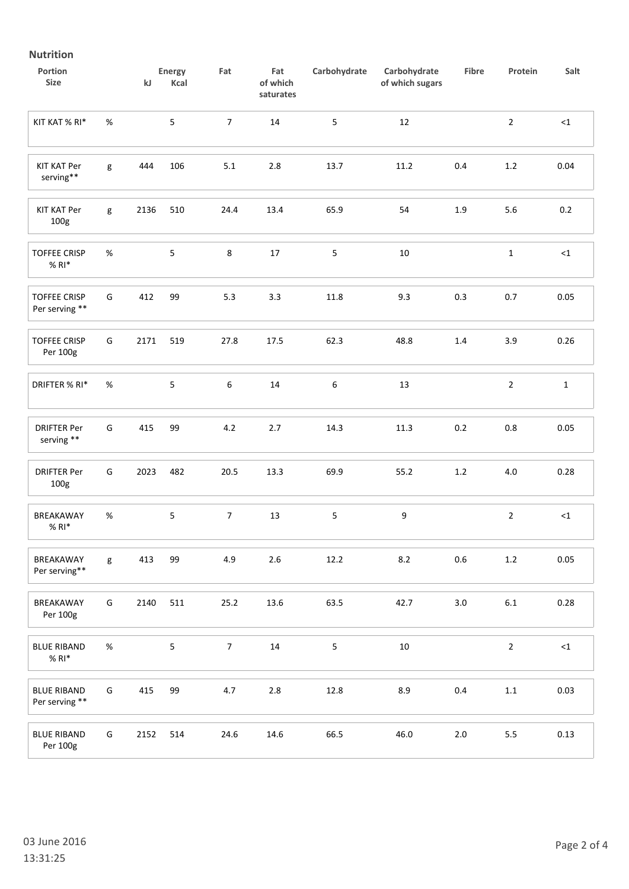# **Nutrition**

| Portion<br><b>Size</b>                 |      | kJ   | Energy<br>Kcal | Fat            | Fat<br>of which<br>saturates | Carbohydrate     | Carbohydrate<br>of which sugars | Fibre   | Protein        | Salt         |
|----------------------------------------|------|------|----------------|----------------|------------------------------|------------------|---------------------------------|---------|----------------|--------------|
| KIT KAT % RI*                          | $\%$ |      | 5              | $\overline{7}$ | 14                           | 5                | 12                              |         | $\overline{2}$ | $<$ 1        |
| <b>KIT KAT Per</b><br>serving**        | g    | 444  | 106            | $5.1\,$        | $2.8\,$                      | 13.7             | 11.2                            | 0.4     | $1.2\,$        | 0.04         |
| <b>KIT KAT Per</b><br>100g             | g    | 2136 | 510            | 24.4           | 13.4                         | 65.9             | 54                              | 1.9     | 5.6            | 0.2          |
| <b>TOFFEE CRISP</b><br>$%$ RI $*$      | $\%$ |      | 5              | $\,8\,$        | $17\,$                       | 5                | 10                              |         | $\mathbf{1}$   | $\leq$ 1     |
| <b>TOFFEE CRISP</b><br>Per serving **  | G    | 412  | 99             | 5.3            | 3.3                          | 11.8             | 9.3                             | 0.3     | 0.7            | 0.05         |
| <b>TOFFEE CRISP</b><br>Per 100g        | G    | 2171 | 519            | 27.8           | 17.5                         | 62.3             | 48.8                            | $1.4\,$ | 3.9            | 0.26         |
| DRIFTER % RI*                          | $\%$ |      | 5              | 6              | 14                           | $\boldsymbol{6}$ | 13                              |         | $\overline{2}$ | $\mathbf{1}$ |
| <b>DRIFTER Per</b><br>serving **       | G    | 415  | 99             | 4.2            | 2.7                          | 14.3             | $11.3\,$                        | 0.2     | $0.8\,$        | 0.05         |
| <b>DRIFTER Per</b><br>100 <sub>g</sub> | G    | 2023 | 482            | 20.5           | 13.3                         | 69.9             | 55.2                            | 1.2     | $4.0\,$        | 0.28         |
| BREAKAWAY<br>$%$ RI $*$                | $\%$ |      | 5              | $\overline{7}$ | 13                           | 5                | 9                               |         | $\overline{2}$ | $\leq$ 1     |
| BREAKAWAY<br>Per serving**             | g    | 413  | 99             | 4.9            | $2.6\,$                      | 12.2             | 8.2                             | 0.6     | $1.2\,$        | 0.05         |
| BREAKAWAY<br>Per 100g                  | G    | 2140 | 511            | 25.2           | 13.6                         | 63.5             | 42.7                            | 3.0     | $6.1\,$        | 0.28         |
| <b>BLUE RIBAND</b><br>$%$ RI $*$       | $\%$ |      | 5              | $\overline{7}$ | 14                           | 5                | 10                              |         | $\overline{2}$ | $\leq$ 1     |
| <b>BLUE RIBAND</b><br>Per serving **   | G    | 415  | 99             | 4.7            | $2.8\,$                      | 12.8             | 8.9                             | $0.4\,$ | $1.1\,$        | 0.03         |
| <b>BLUE RIBAND</b><br>Per 100g         | G    | 2152 | 514            | 24.6           | 14.6                         | 66.5             | 46.0                            | $2.0\,$ | $5.5\,$        | 0.13         |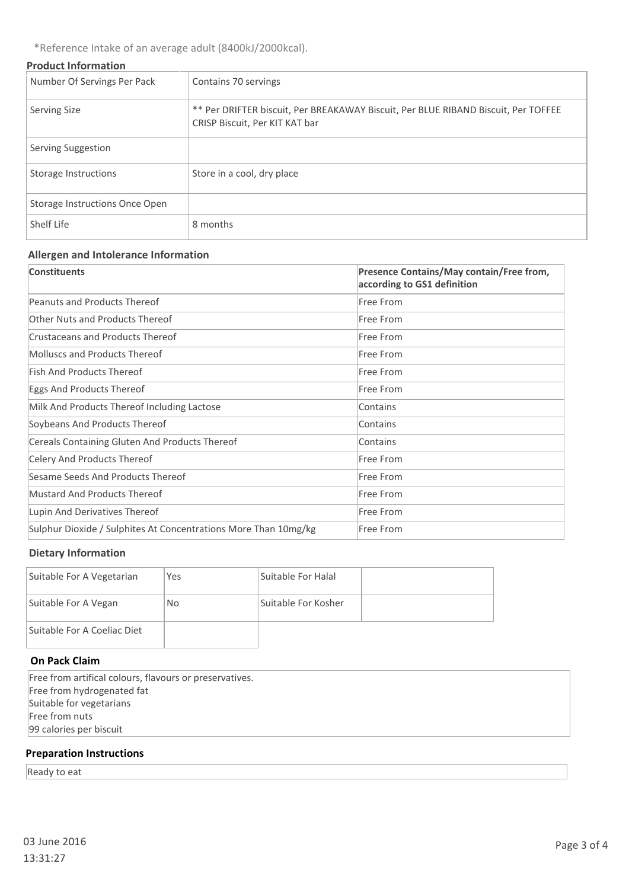\*Reference Intake of an average adult (8400kJ/2000kcal).

## **Product Information**

| Number Of Servings Per Pack    | Contains 70 servings                                                                                                 |
|--------------------------------|----------------------------------------------------------------------------------------------------------------------|
| <b>Serving Size</b>            | ** Per DRIFTER biscuit, Per BREAKAWAY Biscuit, Per BLUE RIBAND Biscuit, Per TOFFEE<br>CRISP Biscuit, Per KIT KAT bar |
| Serving Suggestion             |                                                                                                                      |
| Storage Instructions           | Store in a cool, dry place                                                                                           |
| Storage Instructions Once Open |                                                                                                                      |
| Shelf Life                     | 8 months                                                                                                             |

## **Allergen and Intolerance Information**

| <b>Constituents</b>                                             | Presence Contains/May contain/Free from,<br>according to GS1 definition |
|-----------------------------------------------------------------|-------------------------------------------------------------------------|
| Peanuts and Products Thereof                                    | Free From                                                               |
| Other Nuts and Products Thereof                                 | Free From                                                               |
| Crustaceans and Products Thereof                                | Free From                                                               |
| <b>Molluscs and Products Thereof</b>                            | Free From                                                               |
| Fish And Products Thereof                                       | Free From                                                               |
| Eggs And Products Thereof                                       | Free From                                                               |
| Milk And Products Thereof Including Lactose                     | Contains                                                                |
| Soybeans And Products Thereof                                   | Contains                                                                |
| Cereals Containing Gluten And Products Thereof                  | Contains                                                                |
| Celery And Products Thereof                                     | Free From                                                               |
| Sesame Seeds And Products Thereof                               | Free From                                                               |
| <b>Mustard And Products Thereof</b>                             | Free From                                                               |
| Lupin And Derivatives Thereof                                   | Free From                                                               |
| Sulphur Dioxide / Sulphites At Concentrations More Than 10mg/kg | Free From                                                               |

# **Dietary Information**

| Suitable For A Vegetarian   | Yes | Suitable For Halal  |  |
|-----------------------------|-----|---------------------|--|
| Suitable For A Vegan        | No. | Suitable For Kosher |  |
| Suitable For A Coeliac Diet |     |                     |  |

## **On Pack Claim**

Free from artifical colours, flavours or preservatives. Free from hydrogenated fat Suitable for vegetarians Free from nuts 99 calories per biscuit

## **Preparation Instructions**

Ready to eat